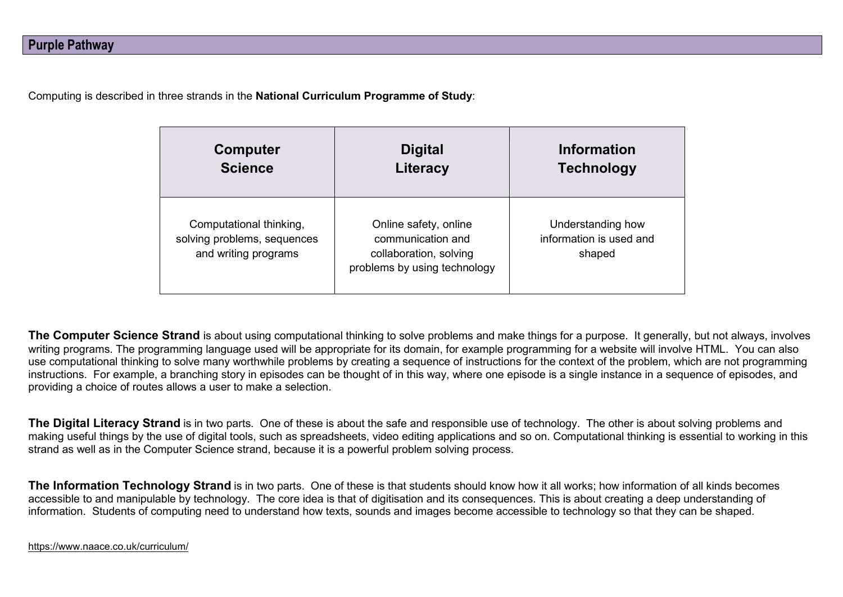Computing is described in three strands in the **National Curriculum Programme of Study**:

| <b>Computer</b>                                                                | <b>Digital</b>                                                                                       | <b>Information</b>                                     |
|--------------------------------------------------------------------------------|------------------------------------------------------------------------------------------------------|--------------------------------------------------------|
| <b>Science</b>                                                                 | Literacy                                                                                             | <b>Technology</b>                                      |
| Computational thinking,<br>solving problems, sequences<br>and writing programs | Online safety, online<br>communication and<br>collaboration, solving<br>problems by using technology | Understanding how<br>information is used and<br>shaped |

**The Computer Science Strand** is about using computational thinking to solve problems and make things for a purpose. It generally, but not always, involves writing programs. The programming language used will be appropriate for its domain, for example programming for a website will involve HTML. You can also use computational thinking to solve many worthwhile problems by creating a sequence of instructions for the context of the problem, which are not programming instructions. For example, a branching story in episodes can be thought of in this way, where one episode is a single instance in a sequence of episodes, and providing a choice of routes allows a user to make a selection.

**The Digital Literacy Strand** is in two parts. One of these is about the safe and responsible use of technology. The other is about solving problems and making useful things by the use of digital tools, such as spreadsheets, video editing applications and so on. Computational thinking is essential to working in this strand as well as in the Computer Science strand, because it is a powerful problem solving process.

**The Information Technology Strand** is in two parts. One of these is that students should know how it all works; how information of all kinds becomes accessible to and manipulable by technology. The core idea is that of digitisation and its consequences. This is about creating a deep understanding of information. Students of computing need to understand how texts, sounds and images become accessible to technology so that they can be shaped.

<https://www.naace.co.uk/curriculum/>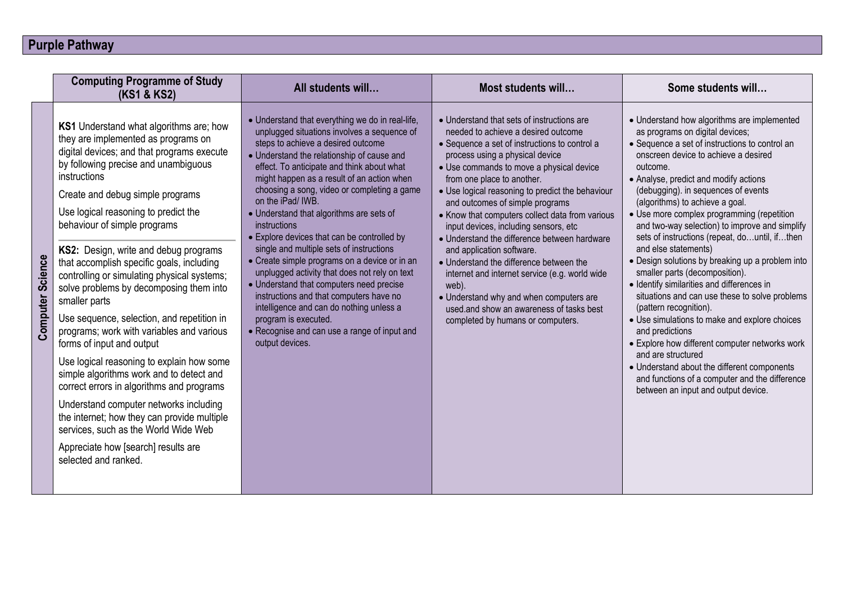## **Purple Pathway**

|                         | <b>Computing Programme of Study</b><br>(KS1 & KS2)                                                                                                                                                                                                                                                                                                                                                                                                                                                                                                                                                                                                                                                                                                                                                                                                                                                                                                                     | All students will                                                                                                                                                                                                                                                                                                                                                                                                                                                                                                                                                                                                                                                                                                                                                                                                                          | Most students will                                                                                                                                                                                                                                                                                                                                                                                                                                                                                                                                                                                                                                                                                                                                | Some students will                                                                                                                                                                                                                                                                                                                                                                                                                                                                                                                                                                                                                                                                                                                                                                                                                                                                                                                                                                   |
|-------------------------|------------------------------------------------------------------------------------------------------------------------------------------------------------------------------------------------------------------------------------------------------------------------------------------------------------------------------------------------------------------------------------------------------------------------------------------------------------------------------------------------------------------------------------------------------------------------------------------------------------------------------------------------------------------------------------------------------------------------------------------------------------------------------------------------------------------------------------------------------------------------------------------------------------------------------------------------------------------------|--------------------------------------------------------------------------------------------------------------------------------------------------------------------------------------------------------------------------------------------------------------------------------------------------------------------------------------------------------------------------------------------------------------------------------------------------------------------------------------------------------------------------------------------------------------------------------------------------------------------------------------------------------------------------------------------------------------------------------------------------------------------------------------------------------------------------------------------|---------------------------------------------------------------------------------------------------------------------------------------------------------------------------------------------------------------------------------------------------------------------------------------------------------------------------------------------------------------------------------------------------------------------------------------------------------------------------------------------------------------------------------------------------------------------------------------------------------------------------------------------------------------------------------------------------------------------------------------------------|--------------------------------------------------------------------------------------------------------------------------------------------------------------------------------------------------------------------------------------------------------------------------------------------------------------------------------------------------------------------------------------------------------------------------------------------------------------------------------------------------------------------------------------------------------------------------------------------------------------------------------------------------------------------------------------------------------------------------------------------------------------------------------------------------------------------------------------------------------------------------------------------------------------------------------------------------------------------------------------|
| <b>Computer Science</b> | <b>KS1</b> Understand what algorithms are; how<br>they are implemented as programs on<br>digital devices; and that programs execute<br>by following precise and unambiguous<br>instructions<br>Create and debug simple programs<br>Use logical reasoning to predict the<br>behaviour of simple programs<br>KS2: Design, write and debug programs<br>that accomplish specific goals, including<br>controlling or simulating physical systems;<br>solve problems by decomposing them into<br>smaller parts<br>Use sequence, selection, and repetition in<br>programs; work with variables and various<br>forms of input and output<br>Use logical reasoning to explain how some<br>simple algorithms work and to detect and<br>correct errors in algorithms and programs<br>Understand computer networks including<br>the internet; how they can provide multiple<br>services, such as the World Wide Web<br>Appreciate how [search] results are<br>selected and ranked. | • Understand that everything we do in real-life,<br>unplugged situations involves a sequence of<br>steps to achieve a desired outcome<br>• Understand the relationship of cause and<br>effect. To anticipate and think about what<br>might happen as a result of an action when<br>choosing a song, video or completing a game<br>on the iPad/ IWB.<br>• Understand that algorithms are sets of<br>instructions<br>• Explore devices that can be controlled by<br>single and multiple sets of instructions<br>• Create simple programs on a device or in an<br>unplugged activity that does not rely on text<br>• Understand that computers need precise<br>instructions and that computers have no<br>intelligence and can do nothing unless a<br>program is executed.<br>• Recognise and can use a range of input and<br>output devices. | • Understand that sets of instructions are<br>needed to achieve a desired outcome<br>• Sequence a set of instructions to control a<br>process using a physical device<br>• Use commands to move a physical device<br>from one place to another.<br>• Use logical reasoning to predict the behaviour<br>and outcomes of simple programs<br>• Know that computers collect data from various<br>input devices, including sensors, etc<br>• Understand the difference between hardware<br>and application software.<br>• Understand the difference between the<br>internet and internet service (e.g. world wide<br>web).<br>• Understand why and when computers are<br>used and show an awareness of tasks best<br>completed by humans or computers. | • Understand how algorithms are implemented<br>as programs on digital devices;<br>• Sequence a set of instructions to control an<br>onscreen device to achieve a desired<br>outcome.<br>• Analyse, predict and modify actions<br>(debugging). in sequences of events<br>(algorithms) to achieve a goal.<br>• Use more complex programming (repetition<br>and two-way selection) to improve and simplify<br>sets of instructions (repeat, dountil, ifthen<br>and else statements)<br>• Design solutions by breaking up a problem into<br>smaller parts (decomposition).<br>• Identify similarities and differences in<br>situations and can use these to solve problems<br>(pattern recognition).<br>• Use simulations to make and explore choices<br>and predictions<br>• Explore how different computer networks work<br>and are structured<br>• Understand about the different components<br>and functions of a computer and the difference<br>between an input and output device. |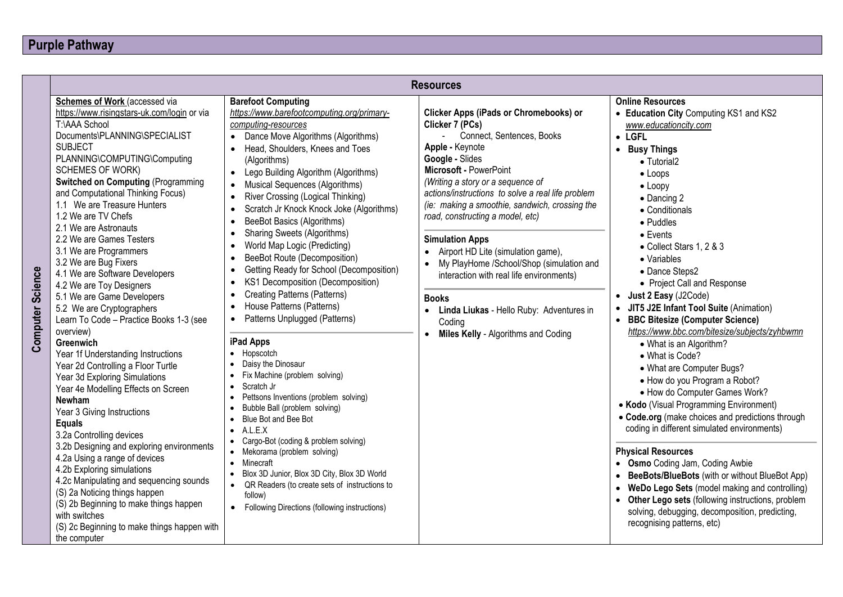|                                                                                                                                                                                                                                                                                                                                                                                                                                                                                                                                                                                                                                                                                                                                                                                                                                                                                                                                                                                                                                                                                                                                                                                                                                                    |                                                                                                                                                                                                                                                                                                                                                                                                                                                                                                                                                                                                                                                                                                                                                                                                                                                                                                                                                                                                                                                                                                                                                                                                                                                                                                                                                                                                        | <b>Resources</b>                                                                                                                                                                                                                                                                                                                                                                                                                                                                                                                                                                                                                  |                                                                                                                                                                                                                                                                                                                                                                                                                                                                                                                                                                                                                                                                                                                                                                                                                                                                                                                                                                                                                                                                                                                                     |
|----------------------------------------------------------------------------------------------------------------------------------------------------------------------------------------------------------------------------------------------------------------------------------------------------------------------------------------------------------------------------------------------------------------------------------------------------------------------------------------------------------------------------------------------------------------------------------------------------------------------------------------------------------------------------------------------------------------------------------------------------------------------------------------------------------------------------------------------------------------------------------------------------------------------------------------------------------------------------------------------------------------------------------------------------------------------------------------------------------------------------------------------------------------------------------------------------------------------------------------------------|--------------------------------------------------------------------------------------------------------------------------------------------------------------------------------------------------------------------------------------------------------------------------------------------------------------------------------------------------------------------------------------------------------------------------------------------------------------------------------------------------------------------------------------------------------------------------------------------------------------------------------------------------------------------------------------------------------------------------------------------------------------------------------------------------------------------------------------------------------------------------------------------------------------------------------------------------------------------------------------------------------------------------------------------------------------------------------------------------------------------------------------------------------------------------------------------------------------------------------------------------------------------------------------------------------------------------------------------------------------------------------------------------------|-----------------------------------------------------------------------------------------------------------------------------------------------------------------------------------------------------------------------------------------------------------------------------------------------------------------------------------------------------------------------------------------------------------------------------------------------------------------------------------------------------------------------------------------------------------------------------------------------------------------------------------|-------------------------------------------------------------------------------------------------------------------------------------------------------------------------------------------------------------------------------------------------------------------------------------------------------------------------------------------------------------------------------------------------------------------------------------------------------------------------------------------------------------------------------------------------------------------------------------------------------------------------------------------------------------------------------------------------------------------------------------------------------------------------------------------------------------------------------------------------------------------------------------------------------------------------------------------------------------------------------------------------------------------------------------------------------------------------------------------------------------------------------------|
| Schemes of Work (accessed via<br>https://www.risingstars-uk.com/login or via<br>T:\AAA School<br>Documents\PLANNING\SPECIALIST<br><b>SUBJECT</b><br>PLANNING\COMPUTING\Computing<br><b>SCHEMES OF WORK)</b><br><b>Switched on Computing (Programming</b><br>and Computational Thinking Focus)<br>1.1 We are Treasure Hunters<br>1.2 We are TV Chefs<br>2.1 We are Astronauts<br>2.2 We are Games Testers<br>3.1 We are Programmers<br>3.2 We are Bug Fixers<br><b>Science</b><br>4.1 We are Software Developers<br>4.2 We are Toy Designers<br>5.1 We are Game Developers<br>5.2 We are Cryptographers<br>Computer<br>Learn To Code - Practice Books 1-3 (see<br>overview)<br>Greenwich<br>Year 1f Understanding Instructions<br>Year 2d Controlling a Floor Turtle<br>Year 3d Exploring Simulations<br>Year 4e Modelling Effects on Screen<br>Newham<br>Year 3 Giving Instructions<br><b>Equals</b><br>3.2a Controlling devices<br>3.2b Designing and exploring environments<br>4.2a Using a range of devices<br>4.2b Exploring simulations<br>4.2c Manipulating and sequencing sounds<br>(S) 2a Noticing things happen<br>(S) 2b Beginning to make things happen<br>with switches<br>(S) 2c Beginning to make things happen with<br>the computer | <b>Barefoot Computing</b><br>https://www.barefootcomputing.org/primary-<br>computing-resources<br>Dance Move Algorithms (Algorithms)<br>$\bullet$<br>Head, Shoulders, Knees and Toes<br>(Algorithms)<br>Lego Building Algorithm (Algorithms)<br>$\bullet$<br>Musical Sequences (Algorithms)<br>$\bullet$<br>River Crossing (Logical Thinking)<br>$\bullet$<br>Scratch Jr Knock Knock Joke (Algorithms)<br>$\bullet$<br>BeeBot Basics (Algorithms)<br>$\bullet$<br><b>Sharing Sweets (Algorithms)</b><br>$\bullet$<br>World Map Logic (Predicting)<br>$\bullet$<br>BeeBot Route (Decomposition)<br>$\bullet$<br>Getting Ready for School (Decomposition)<br>$\bullet$<br>KS1 Decomposition (Decomposition)<br>$\bullet$<br><b>Creating Patterns (Patterns)</b><br>$\bullet$<br>House Patterns (Patterns)<br>$\bullet$<br>Patterns Unplugged (Patterns)<br>$\bullet$<br>iPad Apps<br>• Hopscotch<br>Daisy the Dinosaur<br>Fix Machine (problem solving)<br>Scratch Jr<br>Pettsons Inventions (problem solving)<br>Bubble Ball (problem solving)<br>Blue Bot and Bee Bot<br>$\bullet$<br>A.L.E.X<br>$\bullet$<br>• Cargo-Bot (coding & problem solving)<br>• Mekorama (problem solving)<br>Minecraft<br>$\bullet$<br>Blox 3D Junior, Blox 3D City, Blox 3D World<br>$\bullet$<br>• QR Readers (to create sets of instructions to<br>follow)<br>Following Directions (following instructions)<br>$\bullet$ | Clicker Apps (iPads or Chromebooks) or<br>Clicker 7 (PCs)<br>Connect, Sentences, Books<br>Apple - Keynote<br>Google - Slides<br>Microsoft - PowerPoint<br>(Writing a story or a sequence of<br>actions/instructions to solve a real life problem<br>(ie: making a smoothie, sandwich, crossing the<br>road, constructing a model, etc)<br><b>Simulation Apps</b><br>Airport HD Lite (simulation game),<br>• My PlayHome /School/Shop (simulation and<br>interaction with real life environments)<br><b>Books</b><br>Linda Liukas - Hello Ruby: Adventures in<br>Coding<br><b>Miles Kelly - Algorithms and Coding</b><br>$\bullet$ | <b>Online Resources</b><br>• Education City Computing KS1 and KS2<br>www.educationcity.com<br>$\bullet$ LGFL<br>• Busy Things<br>• Tutorial2<br>$\bullet$ Loops<br>$\bullet$ Loopy<br>$\bullet$ Dancing 2<br>• Conditionals<br>$\bullet$ Puddles<br>$\bullet$ Events<br>• Collect Stars 1, 2 & 3<br>• Variables<br>• Dance Steps2<br>• Project Call and Response<br>• Just 2 Easy (J2Code)<br>JIT5 J2E Infant Tool Suite (Animation)<br><b>BBC Bitesize (Computer Science)</b><br>https://www.bbc.com/bitesize/subjects/zyhbwmn<br>• What is an Algorithm?<br>• What is Code?<br>• What are Computer Bugs?<br>• How do you Program a Robot?<br>• How do Computer Games Work?<br>• Kodo (Visual Programming Environment)<br>• Code.org (make choices and predictions through<br>coding in different simulated environments)<br><b>Physical Resources</b><br>• Osmo Coding Jam, Coding Awbie<br>• BeeBots/BlueBots (with or without BlueBot App)<br>WeDo Lego Sets (model making and controlling)<br>Other Lego sets (following instructions, problem<br>solving, debugging, decomposition, predicting,<br>recognising patterns, etc) |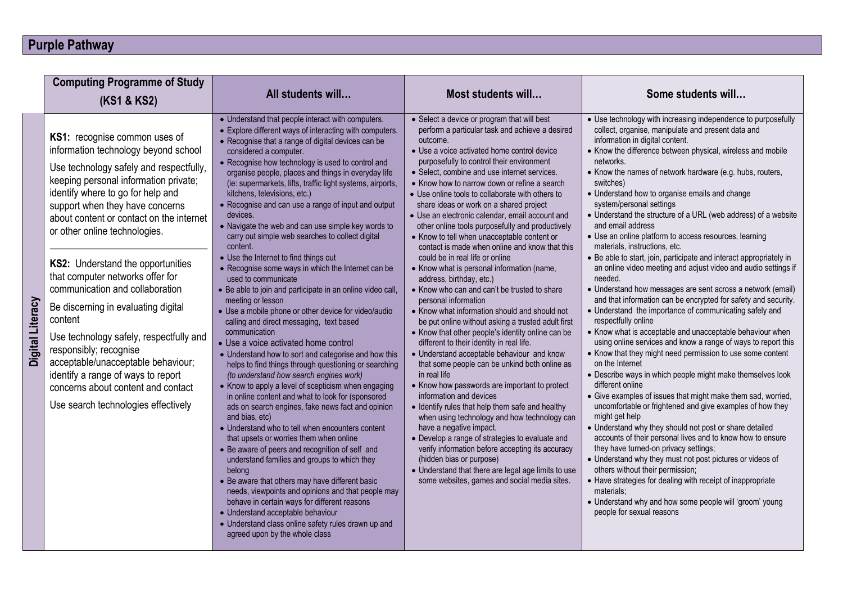## **Purple Pathway**

|                  | <b>Computing Programme of Study</b>                                                                                                                                                                                                                                                                                                                                                                                                                                                                                                                                                                                                                                                                        |                                                                                                                                                                                                                                                                                                                                                                                                                                                                                                                                                                                                                                                                                                                                                                                                                                                                                                                                                                                                                                                                                                                                                                                                                                                                                                                                                                                                                                                                                                                                                                                                                                                                                                                                                                                                                         |                                                                                                                                                                                                                                                                                                                                                                                                                                                                                                                                                                                                                                                                                                                                                                                                                                                                                                                                                                                                                                                                                                                                                                                                                                                                                                                                                                                                                                                                                                                                                                                 |                                                                                                                                                                                                                                                                                                                                                                                                                                                                                                                                                                                                                                                                                                                                                                                                                                                                                                                                                                                                                                                                                                                                                                                                                                                                                                                                                                                                                                                                                                                                                                                                                                                                                                                                                                                                                                             |
|------------------|------------------------------------------------------------------------------------------------------------------------------------------------------------------------------------------------------------------------------------------------------------------------------------------------------------------------------------------------------------------------------------------------------------------------------------------------------------------------------------------------------------------------------------------------------------------------------------------------------------------------------------------------------------------------------------------------------------|-------------------------------------------------------------------------------------------------------------------------------------------------------------------------------------------------------------------------------------------------------------------------------------------------------------------------------------------------------------------------------------------------------------------------------------------------------------------------------------------------------------------------------------------------------------------------------------------------------------------------------------------------------------------------------------------------------------------------------------------------------------------------------------------------------------------------------------------------------------------------------------------------------------------------------------------------------------------------------------------------------------------------------------------------------------------------------------------------------------------------------------------------------------------------------------------------------------------------------------------------------------------------------------------------------------------------------------------------------------------------------------------------------------------------------------------------------------------------------------------------------------------------------------------------------------------------------------------------------------------------------------------------------------------------------------------------------------------------------------------------------------------------------------------------------------------------|---------------------------------------------------------------------------------------------------------------------------------------------------------------------------------------------------------------------------------------------------------------------------------------------------------------------------------------------------------------------------------------------------------------------------------------------------------------------------------------------------------------------------------------------------------------------------------------------------------------------------------------------------------------------------------------------------------------------------------------------------------------------------------------------------------------------------------------------------------------------------------------------------------------------------------------------------------------------------------------------------------------------------------------------------------------------------------------------------------------------------------------------------------------------------------------------------------------------------------------------------------------------------------------------------------------------------------------------------------------------------------------------------------------------------------------------------------------------------------------------------------------------------------------------------------------------------------|---------------------------------------------------------------------------------------------------------------------------------------------------------------------------------------------------------------------------------------------------------------------------------------------------------------------------------------------------------------------------------------------------------------------------------------------------------------------------------------------------------------------------------------------------------------------------------------------------------------------------------------------------------------------------------------------------------------------------------------------------------------------------------------------------------------------------------------------------------------------------------------------------------------------------------------------------------------------------------------------------------------------------------------------------------------------------------------------------------------------------------------------------------------------------------------------------------------------------------------------------------------------------------------------------------------------------------------------------------------------------------------------------------------------------------------------------------------------------------------------------------------------------------------------------------------------------------------------------------------------------------------------------------------------------------------------------------------------------------------------------------------------------------------------------------------------------------------------|
|                  | (KS1 & KS2)                                                                                                                                                                                                                                                                                                                                                                                                                                                                                                                                                                                                                                                                                                | All students will                                                                                                                                                                                                                                                                                                                                                                                                                                                                                                                                                                                                                                                                                                                                                                                                                                                                                                                                                                                                                                                                                                                                                                                                                                                                                                                                                                                                                                                                                                                                                                                                                                                                                                                                                                                                       | Most students will                                                                                                                                                                                                                                                                                                                                                                                                                                                                                                                                                                                                                                                                                                                                                                                                                                                                                                                                                                                                                                                                                                                                                                                                                                                                                                                                                                                                                                                                                                                                                              | Some students will                                                                                                                                                                                                                                                                                                                                                                                                                                                                                                                                                                                                                                                                                                                                                                                                                                                                                                                                                                                                                                                                                                                                                                                                                                                                                                                                                                                                                                                                                                                                                                                                                                                                                                                                                                                                                          |
| Digital Literacy | KS1: recognise common uses of<br>information technology beyond school<br>Use technology safely and respectfully,<br>keeping personal information private;<br>identify where to go for help and<br>support when they have concerns<br>about content or contact on the internet<br>or other online technologies.<br>KS2: Understand the opportunities<br>that computer networks offer for<br>communication and collaboration<br>Be discerning in evaluating digital<br>content<br>Use technology safely, respectfully and<br>responsibly; recognise<br>acceptable/unacceptable behaviour;<br>identify a range of ways to report<br>concerns about content and contact<br>Use search technologies effectively | • Understand that people interact with computers.<br>• Explore different ways of interacting with computers.<br>• Recognise that a range of digital devices can be<br>considered a computer.<br>• Recognise how technology is used to control and<br>organise people, places and things in everyday life<br>(ie: supermarkets, lifts, traffic light systems, airports,<br>kitchens, televisions, etc.)<br>• Recognise and can use a range of input and output<br>devices.<br>• Navigate the web and can use simple key words to<br>carry out simple web searches to collect digital<br>content.<br>• Use the Internet to find things out<br>• Recognise some ways in which the Internet can be<br>used to communicate<br>• Be able to join and participate in an online video call,<br>meeting or lesson<br>· Use a mobile phone or other device for video/audio<br>calling and direct messaging, text based<br>communication<br>• Use a voice activated home control<br>• Understand how to sort and categorise and how this<br>helps to find things through questioning or searching<br>(to understand how search engines work)<br>• Know to apply a level of scepticism when engaging<br>in online content and what to look for (sponsored<br>ads on search engines, fake news fact and opinion<br>and bias, etc)<br>• Understand who to tell when encounters content<br>that upsets or worries them when online<br>• Be aware of peers and recognition of self and<br>understand families and groups to which they<br>belong<br>• Be aware that others may have different basic<br>needs, viewpoints and opinions and that people may<br>behave in certain ways for different reasons<br>• Understand acceptable behaviour<br>• Understand class online safety rules drawn up and<br>agreed upon by the whole class | • Select a device or program that will best<br>perform a particular task and achieve a desired<br>outcome.<br>• Use a voice activated home control device<br>purposefully to control their environment<br>• Select, combine and use internet services.<br>• Know how to narrow down or refine a search<br>• Use online tools to collaborate with others to<br>share ideas or work on a shared project<br>• Use an electronic calendar, email account and<br>other online tools purposefully and productively<br>• Know to tell when unacceptable content or<br>contact is made when online and know that this<br>could be in real life or online<br>• Know what is personal information (name,<br>address, birthday, etc.)<br>• Know who can and can't be trusted to share<br>personal information<br>• Know what information should and should not<br>be put online without asking a trusted adult first<br>• Know that other people's identity online can be<br>different to their identity in real life.<br>• Understand acceptable behaviour and know<br>that some people can be unkind both online as<br>in real life<br>• Know how passwords are important to protect<br>information and devices<br>• Identify rules that help them safe and healthy<br>when using technology and how technology can<br>have a negative impact.<br>• Develop a range of strategies to evaluate and<br>verify information before accepting its accuracy<br>(hidden bias or purpose)<br>• Understand that there are legal age limits to use<br>some websites, games and social media sites. | • Use technology with increasing independence to purposefully<br>collect, organise, manipulate and present data and<br>information in digital content.<br>• Know the difference between physical, wireless and mobile<br>networks.<br>• Know the names of network hardware (e.g. hubs, routers,<br>switches)<br>• Understand how to organise emails and change<br>system/personal settings<br>• Understand the structure of a URL (web address) of a website<br>and email address<br>• Use an online platform to access resources, learning<br>materials, instructions, etc.<br>• Be able to start, join, participate and interact appropriately in<br>an online video meeting and adjust video and audio settings if<br>needed.<br>• Understand how messages are sent across a network (email)<br>and that information can be encrypted for safety and security.<br>• Understand the importance of communicating safely and<br>respectfully online<br>• Know what is acceptable and unacceptable behaviour when<br>using online services and know a range of ways to report this<br>• Know that they might need permission to use some content<br>on the Internet<br>• Describe ways in which people might make themselves look<br>different online<br>• Give examples of issues that might make them sad, worried,<br>uncomfortable or frightened and give examples of how they<br>might get help<br>• Understand why they should not post or share detailed<br>accounts of their personal lives and to know how to ensure<br>they have turned-on privacy settings;<br>• Understand why they must not post pictures or videos of<br>others without their permission;<br>• Have strategies for dealing with receipt of inappropriate<br>materials:<br>• Understand why and how some people will 'groom' young<br>people for sexual reasons |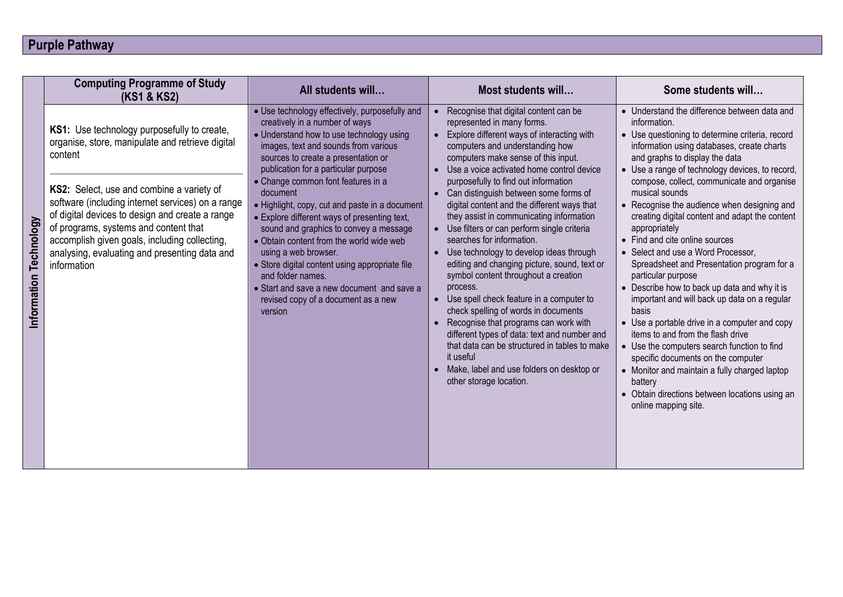## **Purple Pathway**

|            | <b>Computing Programme of Study</b><br>(KS1 & KS2)                                                                                                                                                                                                                                                                                                        | All students will                                                                                                                                                                                                                                                                                                                                                                                                                                                                             | Most students will                                                                                                                                                                                                                                                                                                                                                                                                                                                                                  | Some students will                                                                                                                                                                                                                                                                                                                                                                                                                                                                                                               |
|------------|-----------------------------------------------------------------------------------------------------------------------------------------------------------------------------------------------------------------------------------------------------------------------------------------------------------------------------------------------------------|-----------------------------------------------------------------------------------------------------------------------------------------------------------------------------------------------------------------------------------------------------------------------------------------------------------------------------------------------------------------------------------------------------------------------------------------------------------------------------------------------|-----------------------------------------------------------------------------------------------------------------------------------------------------------------------------------------------------------------------------------------------------------------------------------------------------------------------------------------------------------------------------------------------------------------------------------------------------------------------------------------------------|----------------------------------------------------------------------------------------------------------------------------------------------------------------------------------------------------------------------------------------------------------------------------------------------------------------------------------------------------------------------------------------------------------------------------------------------------------------------------------------------------------------------------------|
| echnology  | KS1: Use technology purposefully to create,<br>organise, store, manipulate and retrieve digital<br>content<br>KS2: Select, use and combine a variety of<br>software (including internet services) on a range<br>of digital devices to design and create a range<br>of programs, systems and content that<br>accomplish given goals, including collecting, | · Use technology effectively, purposefully and<br>creatively in a number of ways<br>• Understand how to use technology using<br>images, text and sounds from various<br>sources to create a presentation or<br>publication for a particular purpose<br>• Change common font features in a<br>document<br>• Highlight, copy, cut and paste in a document<br>• Explore different ways of presenting text,<br>sound and graphics to convey a message<br>• Obtain content from the world wide web | Recognise that digital content can be<br>represented in many forms.<br>Explore different ways of interacting with<br>computers and understanding how<br>computers make sense of this input.<br>Use a voice activated home control device<br>purposefully to find out information<br>• Can distinguish between some forms of<br>digital content and the different ways that<br>they assist in communicating information<br>• Use filters or can perform single criteria<br>searches for information. | • Understand the difference between data and<br>information.<br>• Use questioning to determine criteria, record<br>information using databases, create charts<br>and graphs to display the data<br>• Use a range of technology devices, to record,<br>compose, collect, communicate and organise<br>musical sounds<br>• Recognise the audience when designing and<br>creating digital content and adapt the content<br>appropriately<br>• Find and cite online sources                                                           |
| nformation | analysing, evaluating and presenting data and<br>information                                                                                                                                                                                                                                                                                              | using a web browser.<br>• Store digital content using appropriate file<br>and folder names.<br>• Start and save a new document and save a<br>revised copy of a document as a new<br>version                                                                                                                                                                                                                                                                                                   | Use technology to develop ideas through<br>editing and changing picture, sound, text or<br>symbol content throughout a creation<br>process.<br>Use spell check feature in a computer to<br>check spelling of words in documents<br>Recognise that programs can work with<br>different types of data: text and number and<br>that data can be structured in tables to make<br>it useful<br>Make, label and use folders on desktop or<br>other storage location.                                      | • Select and use a Word Processor,<br>Spreadsheet and Presentation program for a<br>particular purpose<br>• Describe how to back up data and why it is<br>important and will back up data on a regular<br>basis<br>• Use a portable drive in a computer and copy<br>items to and from the flash drive<br>• Use the computers search function to find<br>specific documents on the computer<br>• Monitor and maintain a fully charged laptop<br>battery<br>• Obtain directions between locations using an<br>online mapping site. |